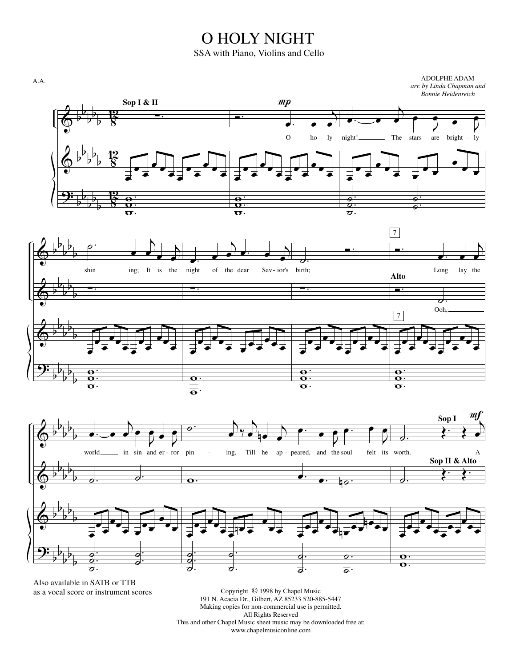## O HOLY NIGHT

SSA with Piano, Violins and Cello



as a vocal score or instrument scores

Copyright © 1998 by Chapel Music 191 N. Acacia Dr., Gilbert, AZ 85233 520-885-5447 Making copies for non-commercial use is permitted. All Rights Reserved This and other Chapel Music sheet music may be downloaded free at: www.chapelmusiconline.com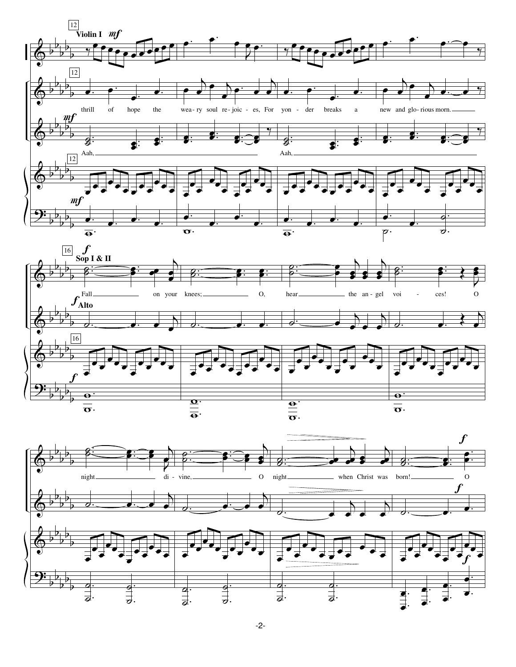



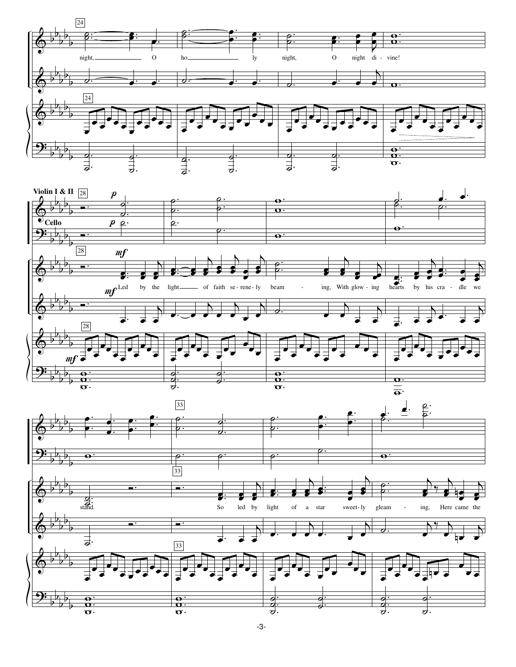



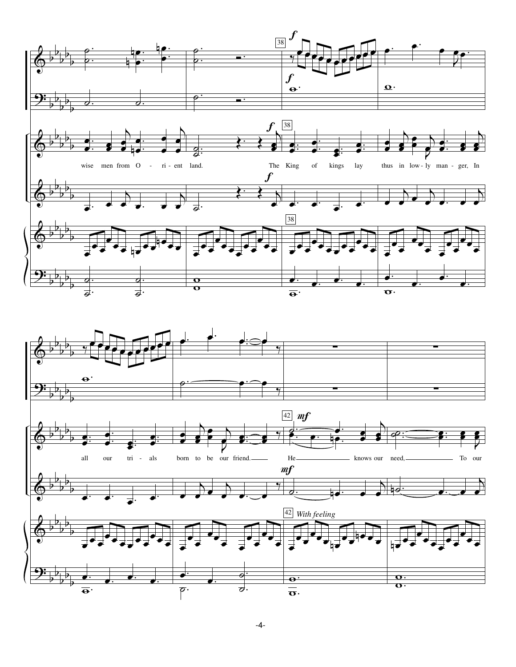





 $-4-$ 

 $\vec{\sigma}$ 

 $\overline{\overline{\overline{\sigma}}}$ .

 $\overline{\rho}$ .

 $\overline{\Theta}$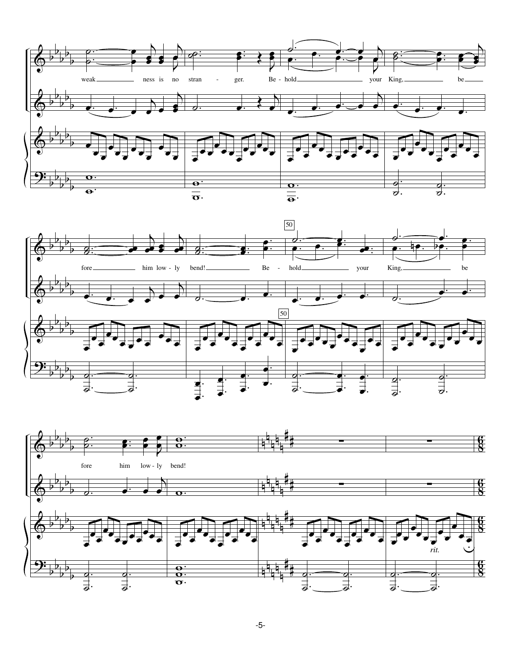



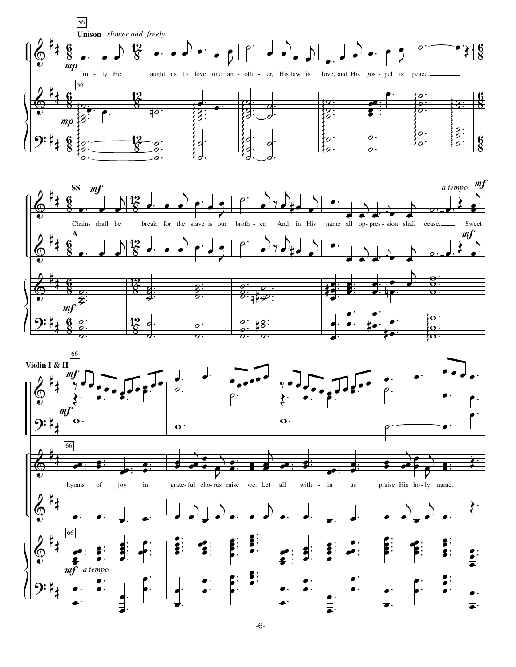



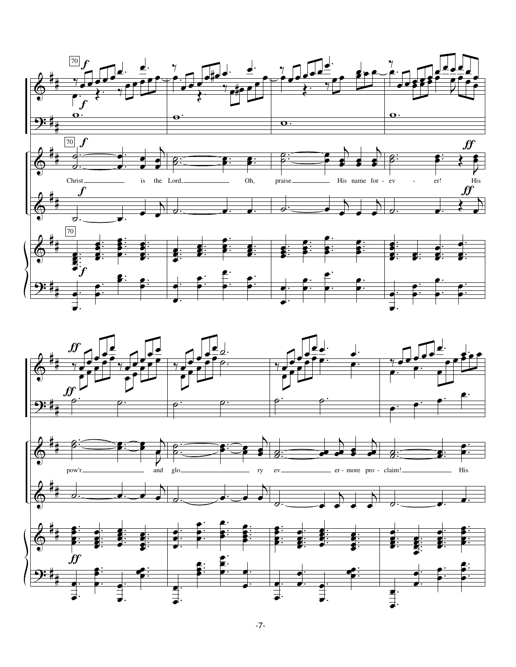